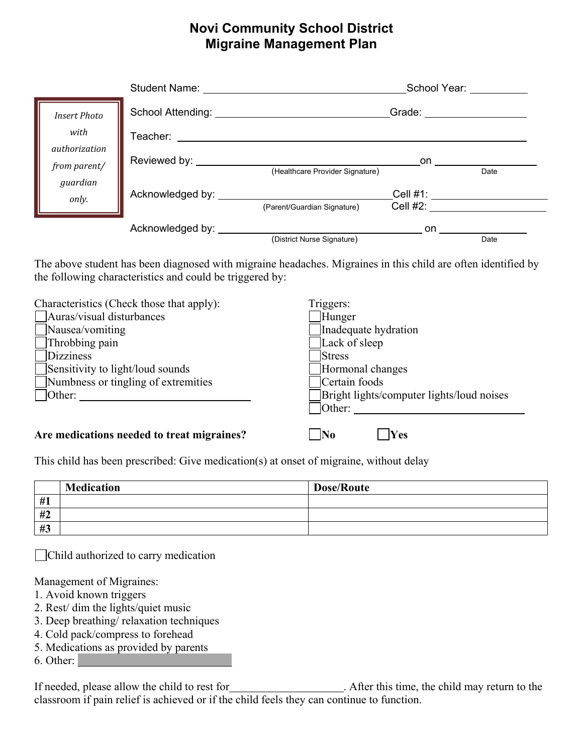## **Novi Community School District Migraine Management Plan**

|                                                                                   | Student Name: University Name:                                             |                                 |                                                                                                                                                                                                                                | School Year: Network |
|-----------------------------------------------------------------------------------|----------------------------------------------------------------------------|---------------------------------|--------------------------------------------------------------------------------------------------------------------------------------------------------------------------------------------------------------------------------|----------------------|
| <b>Insert Photo</b><br>with<br>authorization<br>from parent/<br>guardian<br>only. | School Attending: <u>Community Community Community Community Community</u> |                                 | Grade: with the contract of the contract of the contract of the contract of the contract of the contract of the contract of the contract of the contract of the contract of the contract of the contract of the contract of th |                      |
|                                                                                   | Teacher: ________                                                          |                                 |                                                                                                                                                                                                                                |                      |
|                                                                                   | Reviewed by: _________                                                     | (Healthcare Provider Signature) | on                                                                                                                                                                                                                             | Date                 |
|                                                                                   | Acknowledged by: ______________________                                    | (Parent/Guardian Signature)     | Cell #1: _____________<br>Cell $#2$ :                                                                                                                                                                                          |                      |
|                                                                                   | Acknowledged by: ________                                                  | (District Nurse Signature)      | on.                                                                                                                                                                                                                            | Date                 |

The above student has been diagnosed with migraine headaches. Migraines in this child are often identified by the following characteristics and could be triggered by:

| Characteristics (Check those that apply):  | Triggers:                                 |
|--------------------------------------------|-------------------------------------------|
| Auras/visual disturbances                  | Hunger                                    |
| Nausea/vomiting                            | Inadequate hydration                      |
| $\Box$ Throbbing pain                      | Lack of sleep                             |
| Dizziness                                  | Stress                                    |
| Sensitivity to light/loud sounds           | Hormonal changes                          |
| $\Box$ Numbness or tingling of extremities | Certain foods                             |
| Other:                                     | Bright lights/computer lights/loud noises |
|                                            | Other:                                    |
|                                            |                                           |
| Are medications needed to treat migraines? | $\bf No$<br>Yes                           |

This child has been prescribed: Give medication(s) at onset of migraine, without delay

|    | <b>Medication</b> | <b>Dose/Route</b> |
|----|-------------------|-------------------|
| #1 |                   |                   |
| #2 |                   |                   |
| #3 |                   |                   |

Child authorized to carry medication

Management of Migraines:

- 1. Avoid known triggers
- 2. Rest/ dim the lights/quiet music
- 3. Deep breathing/ relaxation techniques
- 4. Cold pack/compress to forehead
- 5. Medications as provided by parents

 $6.$  Other:

If needed, please allow the child to rest for . After this time, the child may return to the classroom if pain relief is achieved or if the child feels they can continue to function.